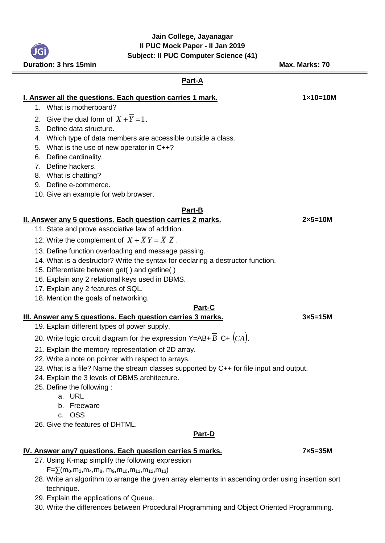## **Jain College, Jayanagar II PUC Mock Paper - II Jan 2019 Subject: II PUC Computer Science (41)**

**Duration: 3 hrs 15min Max. Marks: 70 Part-A I. Answer all the questions. Each question carries 1 mark.** 150 1210 1210 1210 1210 1. What is motherboard? 2. Give the dual form of  $X + Y = 1$ . 3. Define data structure. 4. Which type of data members are accessible outside a class. 5. What is the use of new operator in C++? 6. Define cardinality. 7. Define hackers. 8. What is chatting? 9. Define e-commerce. 10. Give an example for web browser. **Part-B II. Answer any 5 questions. Each question carries 2 marks. 2×5=10M** 11. State and prove associative law of addition. 12. Write the complement of  $X + XY = X Z$ . 13. Define function overloading and message passing. 14. What is a destructor? Write the syntax for declaring a destructor function. 15. Differentiate between get( ) and getline( ) 16. Explain any 2 relational keys used in DBMS. 17. Explain any 2 features of SQL. 18. Mention the goals of networking. **Part-C III. Answer any 5 questions. Each question carries 3 marks. 3×5=15M** 19. Explain different types of power supply. 20. Write logic circuit diagram for the expression Y=AB+  $\overline{B}$  C+  $\left(\overline{CA}\right)$ . 21. Explain the memory representation of 2D array. 22. Write a note on pointer with respect to arrays. 23. What is a file? Name the stream classes supported by C++ for file input and output. 24. Explain the 3 levels of DBMS architecture. 25. Define the following : a. URL b. Freeware c. OSS 26. Give the features of DHTML. **Part-D IV. Answer any7 questions. Each question carries 5 marks. 7x5=35M** 

- 27. Using K-map simplify the following expression  $F=\sum(m_0,m_2,m_4,m_8,m_9,m_{10},m_{11},m_{12},m_{13})$
- 28. Write an algorithm to arrange the given array elements in ascending order using insertion sort technique.
- 29. Explain the applications of Queue.
- 30. Write the differences between Procedural Programming and Object Oriented Programming.